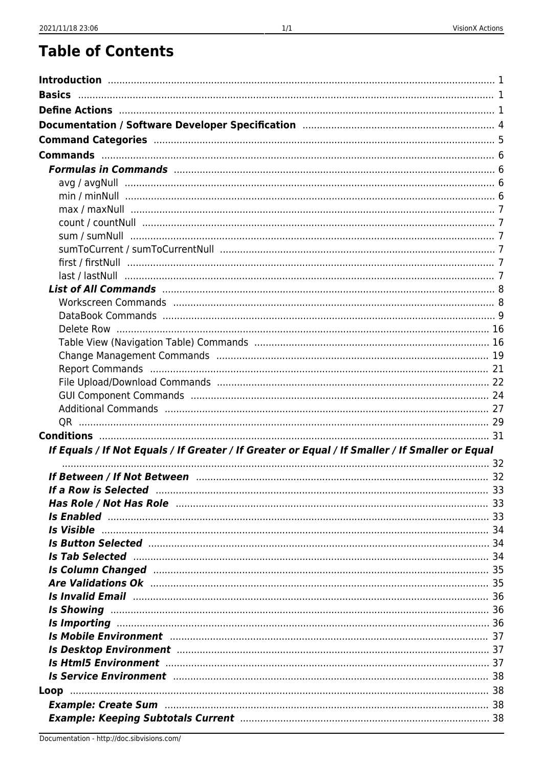## **Table of Contents**

| If Equals / If Not Equals / If Greater / If Greater or Equal / If Smaller / If Smaller or Equal                                                                                                                                      |  |
|--------------------------------------------------------------------------------------------------------------------------------------------------------------------------------------------------------------------------------------|--|
|                                                                                                                                                                                                                                      |  |
|                                                                                                                                                                                                                                      |  |
| If a Row is Selected manufactured and the 33                                                                                                                                                                                         |  |
|                                                                                                                                                                                                                                      |  |
|                                                                                                                                                                                                                                      |  |
| <b>Is Button Selected manufacture and the Button Selected manufacture of the Button Selected</b> manufacture 34                                                                                                                      |  |
| Is Tab Selected <b>Elected Elected Elected Elected Elected Elected Elected Elected Elected Elected Elected Elected Elected Elected Elected Elected Elected Elected Elected Elected Elect</b>                                         |  |
| Is Column Changed Manuscriptus and the column of the column of the column Changed                                                                                                                                                    |  |
| <b>Are Validations Ok manufacture and the Validations Ok analyzing the Validations Ok manufacture and the Validations Ok analyzing the Validations of the Validations of the Validation of the Validation of the Validation of t</b> |  |
|                                                                                                                                                                                                                                      |  |
|                                                                                                                                                                                                                                      |  |
|                                                                                                                                                                                                                                      |  |
| Is Mobile Environment manufactured and the ST 37                                                                                                                                                                                     |  |
| Is Desktop Environment manufactured and the ST 37                                                                                                                                                                                    |  |
|                                                                                                                                                                                                                                      |  |
|                                                                                                                                                                                                                                      |  |
|                                                                                                                                                                                                                                      |  |
|                                                                                                                                                                                                                                      |  |
|                                                                                                                                                                                                                                      |  |
|                                                                                                                                                                                                                                      |  |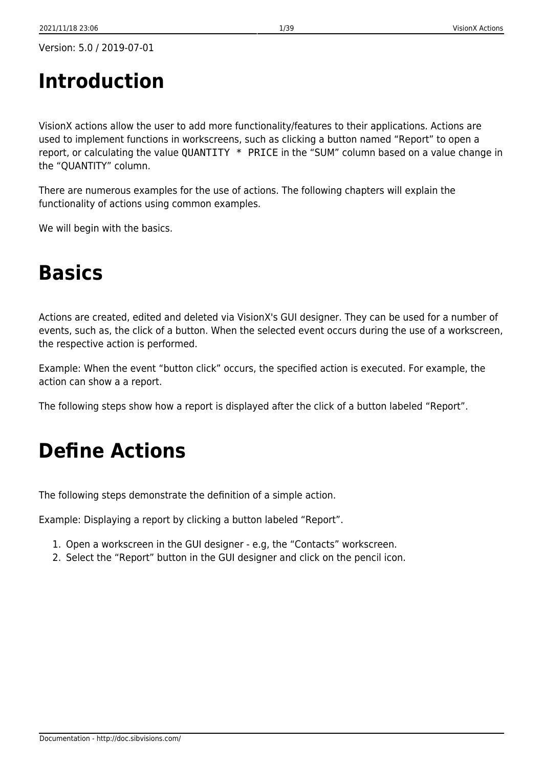# <span id="page-1-0"></span>**Introduction**

VisionX actions allow the user to add more functionality/features to their applications. Actions are used to implement functions in workscreens, such as clicking a button named "Report" to open a report, or calculating the value QUANTITY \* PRICE in the "SUM" column based on a value change in the "QUANTITY" column.

There are numerous examples for the use of actions. The following chapters will explain the functionality of actions using common examples.

We will begin with the basics.

# <span id="page-1-1"></span>**Basics**

Actions are created, edited and deleted via VisionX's GUI designer. They can be used for a number of events, such as, the click of a button. When the selected event occurs during the use of a workscreen, the respective action is performed.

Example: When the event "button click" occurs, the specified action is executed. For example, the action can show a a report.

The following steps show how a report is displayed after the click of a button labeled "Report".

# <span id="page-1-2"></span>**Define Actions**

The following steps demonstrate the definition of a simple action.

Example: Displaying a report by clicking a button labeled "Report".

- 1. Open a workscreen in the GUI designer e.g, the "Contacts" workscreen.
- 2. Select the "Report" button in the GUI designer and click on the pencil icon.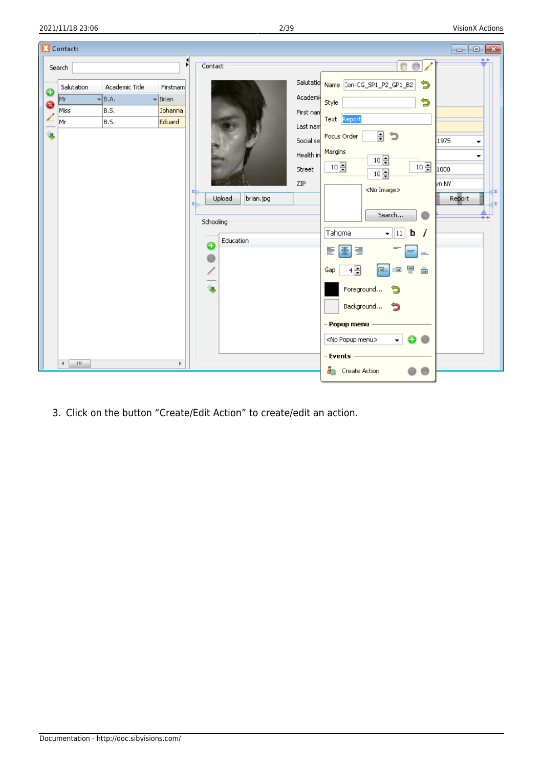

3. Click on the button "Create/Edit Action" to create/edit an action.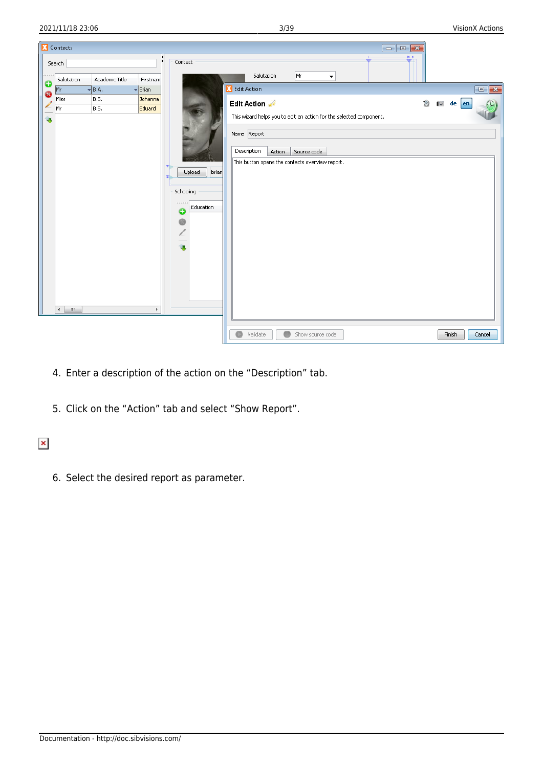|                   | Contacts               |                |                             |                                                                     | $\begin{array}{c c c c c} \hline \multicolumn{3}{c }{\textbf{a}} & \multicolumn{3}{c }{\textbf{a}} & \multicolumn{3}{c }{\textbf{x}} \\\hline \multicolumn{3}{c }{\textbf{b}} & \multicolumn{3}{c }{\textbf{c}} & \multicolumn{3}{c }{\textbf{x}} \\\hline \multicolumn{3}{c }{\textbf{b}} & \multicolumn{3}{c }{\textbf{c}} & \multicolumn{3}{c }{\textbf{x}} \\\hline \multicolumn{3}{c }{\textbf{b}} & \multicolumn{3}{c }{\textbf{b}} & \multicolumn{3}{c $ |  |
|-------------------|------------------------|----------------|-----------------------------|---------------------------------------------------------------------|-----------------------------------------------------------------------------------------------------------------------------------------------------------------------------------------------------------------------------------------------------------------------------------------------------------------------------------------------------------------------------------------------------------------------------------------------------------------|--|
|                   | Search                 |                | Ы                           | Contact                                                             | $# +$<br>Mr<br>Salutation                                                                                                                                                                                                                                                                                                                                                                                                                                       |  |
| o                 | Salutation             | Academic Title | Firstnam                    |                                                                     |                                                                                                                                                                                                                                                                                                                                                                                                                                                                 |  |
| ☺                 | Mr                     | $\neg B.A.$    | $\blacktriangleright$ Brian |                                                                     | Edit Action<br>$\blacksquare$                                                                                                                                                                                                                                                                                                                                                                                                                                   |  |
| $\overline{\ell}$ | Miss                   | B.S.           | Johanna                     |                                                                     | Edit Action<br>Ò<br>$\begin{bmatrix} \bullet \\ \bullet \end{bmatrix}$ de $\begin{bmatrix}$ en                                                                                                                                                                                                                                                                                                                                                                  |  |
|                   | Mr                     | B.S.           | Eduard                      |                                                                     | This wizard helps you to edit an action for the selected component.                                                                                                                                                                                                                                                                                                                                                                                             |  |
| Ù,                | $\leftarrow$<br>$-III$ |                | b.                          | Upload<br>brian<br>Schooling<br>444444<br>Education<br>o<br>G<br>i. | Name Report<br>Description<br><b>Action</b><br>Source code<br>This button opens the contacts overview report.                                                                                                                                                                                                                                                                                                                                                   |  |
|                   |                        |                |                             |                                                                     |                                                                                                                                                                                                                                                                                                                                                                                                                                                                 |  |
|                   |                        |                |                             |                                                                     | Validate<br>Show source code<br>Finish<br>Cancel                                                                                                                                                                                                                                                                                                                                                                                                                |  |

- 4. Enter a description of the action on the "Description" tab.
- 5. Click on the "Action" tab and select "Show Report".

## $\pmb{\times}$

6. Select the desired report as parameter.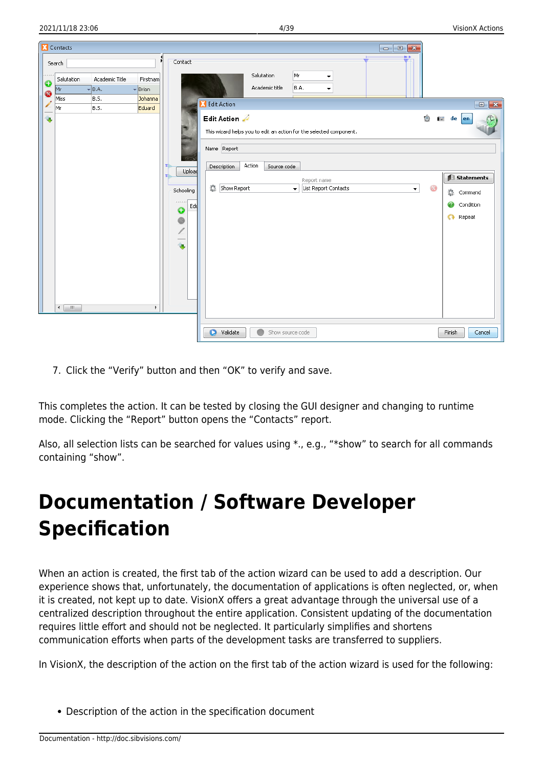2021/11/18 23:06 4/39 VisionX Actions

|                          | Contacts                     |                                                |                                                 |                     | $ \bullet$ $\mathbf{x}$                                                                                                                  |                                             |
|--------------------------|------------------------------|------------------------------------------------|-------------------------------------------------|---------------------|------------------------------------------------------------------------------------------------------------------------------------------|---------------------------------------------|
| $\frac{1}{9}$            | Search<br>Salutation<br> Mr  | Academic Title<br>$\overline{\mathbf{v}}$ B.A. | И<br>Firstnam<br>$\overline{\phantom{a}}$ Brian | Contact             | $# +$<br>Mr<br>Salutation<br>$\overline{\phantom{a}}$<br>Academic title<br>B.A.                                                          |                                             |
| $\overline{\mathscr{L}}$ | Miss                         | B.S.                                           | Johanna                                         |                     | <b>Edit Action</b>                                                                                                                       | $\begin{array}{ c c }\n\hline\n\end{array}$ |
| Ù,                       | Mr<br>B.S.                   |                                                | Eduard                                          |                     | Ô<br>Edit Action<br>This wizard helps you to edit an action for the selected component.<br>Name Report                                   | <b>i</b> de en                              |
|                          |                              |                                                |                                                 | Upload<br>Schooling | Action<br>Description<br>Source code<br>Report name<br>盗<br>Show Report<br>$\bar{\phantom{a}}$<br>ෂ<br>List Report Contacts<br>$\bullet$ | Statements                                  |
|                          |                              |                                                |                                                 | 1.1.1.1<br>Ed<br>۰  |                                                                                                                                          | Command<br>Condition<br>Repeat<br>$\Omega$  |
|                          | $\mathbf{m}$<br>$\leftarrow$ |                                                | Þ.                                              | G<br>ú,             |                                                                                                                                          |                                             |
|                          |                              |                                                |                                                 |                     | Õ<br>Validate<br>Show source code                                                                                                        | Finish<br>Cancel                            |

7. Click the "Verify" button and then "OK" to verify and save.

This completes the action. It can be tested by closing the GUI designer and changing to runtime mode. Clicking the "Report" button opens the "Contacts" report.

Also, all selection lists can be searched for values using \*., e.g., "\*show" to search for all commands containing "show".

# <span id="page-4-0"></span>**Documentation / Software Developer Specification**

When an action is created, the first tab of the action wizard can be used to add a description. Our experience shows that, unfortunately, the documentation of applications is often neglected, or, when it is created, not kept up to date. VisionX offers a great advantage through the universal use of a centralized description throughout the entire application. Consistent updating of the documentation requires little effort and should not be neglected. It particularly simplifies and shortens communication efforts when parts of the development tasks are transferred to suppliers.

In VisionX, the description of the action on the first tab of the action wizard is used for the following:

Description of the action in the specification document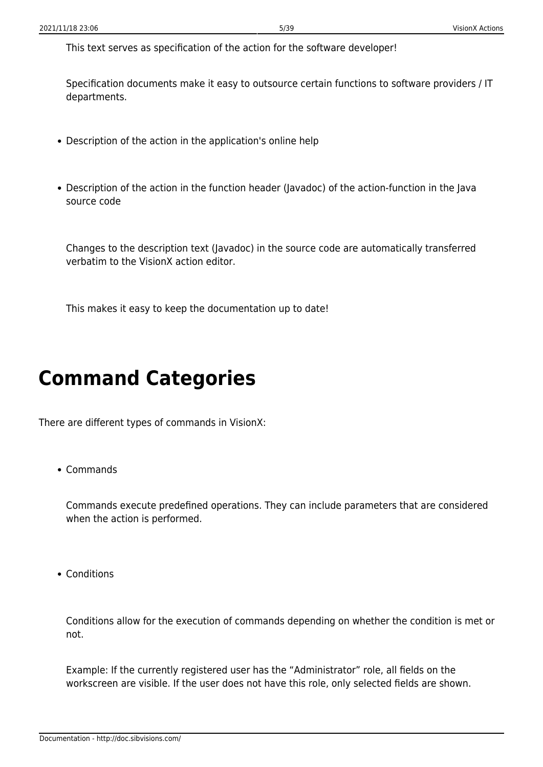This text serves as specification of the action for the software developer!

Specification documents make it easy to outsource certain functions to software providers / IT departments.

- Description of the action in the application's online help
- Description of the action in the function header (Javadoc) of the action-function in the Java source code

Changes to the description text (Javadoc) in the source code are automatically transferred verbatim to the VisionX action editor.

This makes it easy to keep the documentation up to date!

# <span id="page-5-0"></span>**Command Categories**

There are different types of commands in VisionX:

Commands

Commands execute predefined operations. They can include parameters that are considered when the action is performed.

• Conditions

Conditions allow for the execution of commands depending on whether the condition is met or not.

Example: If the currently registered user has the "Administrator" role, all fields on the workscreen are visible. If the user does not have this role, only selected fields are shown.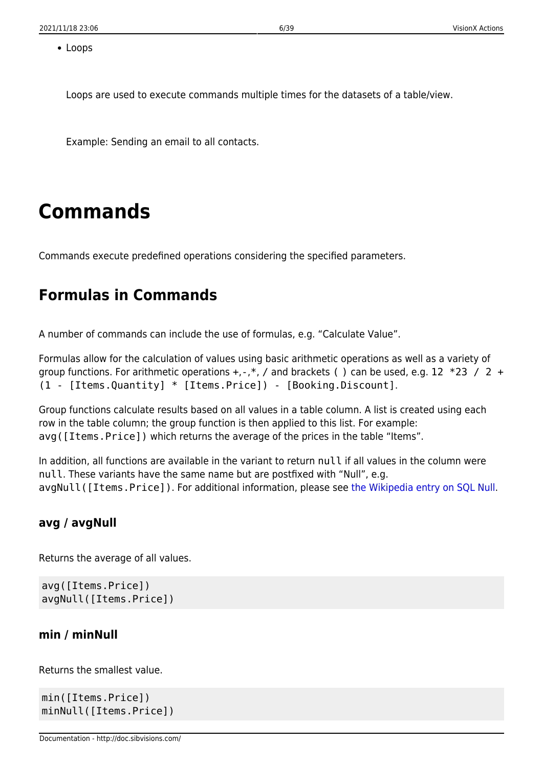• Loops

Loops are used to execute commands multiple times for the datasets of a table/view.

Example: Sending an email to all contacts.

# <span id="page-6-0"></span>**Commands**

Commands execute predefined operations considering the specified parameters.

## <span id="page-6-4"></span><span id="page-6-1"></span>**Formulas in Commands**

A number of commands can include the use of formulas, e.g. "Calculate Value".

Formulas allow for the calculation of values using basic arithmetic operations as well as a variety of group functions. For arithmetic operations  $+, -, *, /$  and brackets () can be used, e.g. 12  $*23 / 2 +$ (1 - [Items.Quantity] \* [Items.Price]) - [Booking.Discount].

Group functions calculate results based on all values in a table column. A list is created using each row in the table column; the group function is then applied to this list. For example: avg([Items.Price]) which returns the average of the prices in the table "Items".

In addition, all functions are available in the variant to return null if all values in the column were null. These variants have the same name but are postfixed with "Null", e.g. avgNull([Items.Price]). For additional information, please see [the Wikipedia entry on SQL Null](http://en.wikipedia.org/wiki/Null_(SQL)).

### <span id="page-6-2"></span>**avg / avgNull**

Returns the average of all values.

```
avg([Items.Price])
avgNull([Items.Price])
```
### <span id="page-6-3"></span>**min / minNull**

Returns the smallest value.

min([Items.Price]) minNull([Items.Price])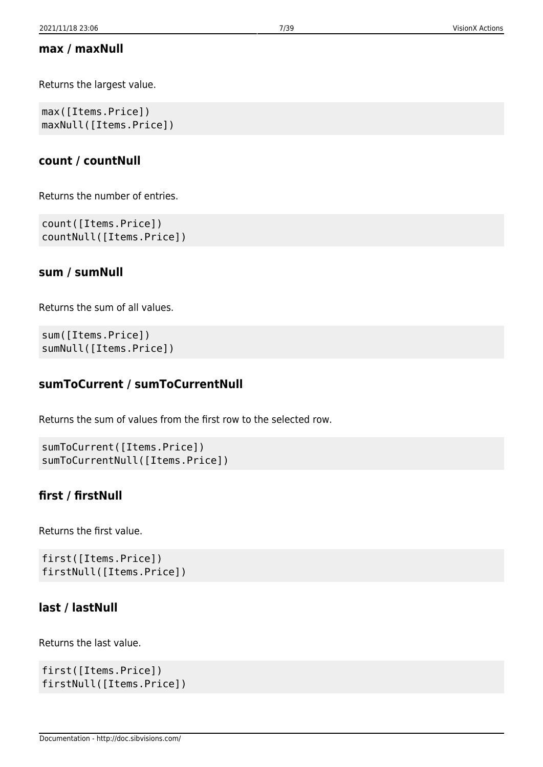## <span id="page-7-0"></span>**max / maxNull**

Returns the largest value.

max([Items.Price]) maxNull([Items.Price])

## <span id="page-7-1"></span>**count / countNull**

Returns the number of entries.

```
count([Items.Price])
countNull([Items.Price])
```
## <span id="page-7-2"></span>**sum / sumNull**

Returns the sum of all values.

```
sum([Items.Price])
sumNull([Items.Price])
```
## <span id="page-7-3"></span>**sumToCurrent / sumToCurrentNull**

Returns the sum of values from the first row to the selected row.

```
sumToCurrent([Items.Price])
sumToCurrentNull([Items.Price])
```
## <span id="page-7-4"></span>**first / firstNull**

Returns the first value.

first([Items.Price]) firstNull([Items.Price])

## <span id="page-7-5"></span>**last / lastNull**

Returns the last value.

```
first([Items.Price])
firstNull([Items.Price])
```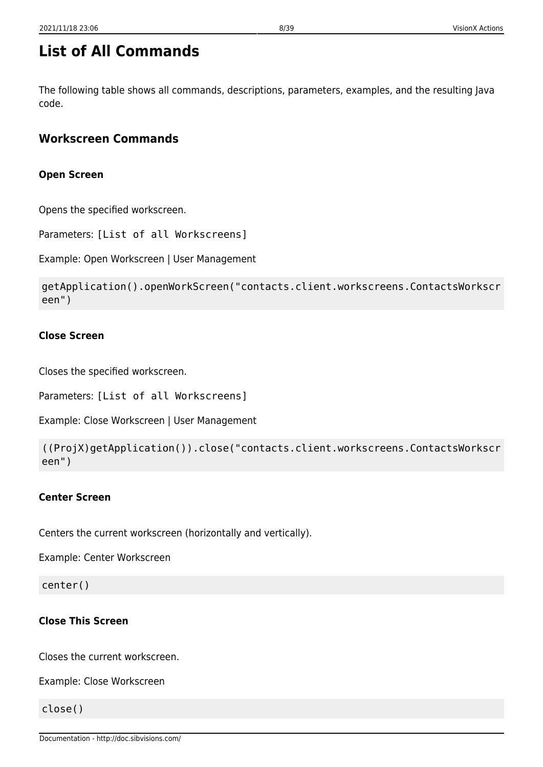<span id="page-8-0"></span>The following table shows all commands, descriptions, parameters, examples, and the resulting Java code.

## <span id="page-8-1"></span>**Workscreen Commands**

## **Open Screen**

Opens the specified workscreen.

Parameters: [List of all Workscreens]

Example: Open Workscreen | User Management

```
getApplication().openWorkScreen("contacts.client.workscreens.ContactsWorkscr
een")
```
### **Close Screen**

Closes the specified workscreen.

Parameters: [List of all Workscreens]

Example: Close Workscreen | User Management

```
((ProjX)getApplication()).close("contacts.client.workscreens.ContactsWorkscr
een")
```
### **Center Screen**

Centers the current workscreen (horizontally and vertically).

Example: Center Workscreen

center()

### **Close This Screen**

Closes the current workscreen.

Example: Close Workscreen

close()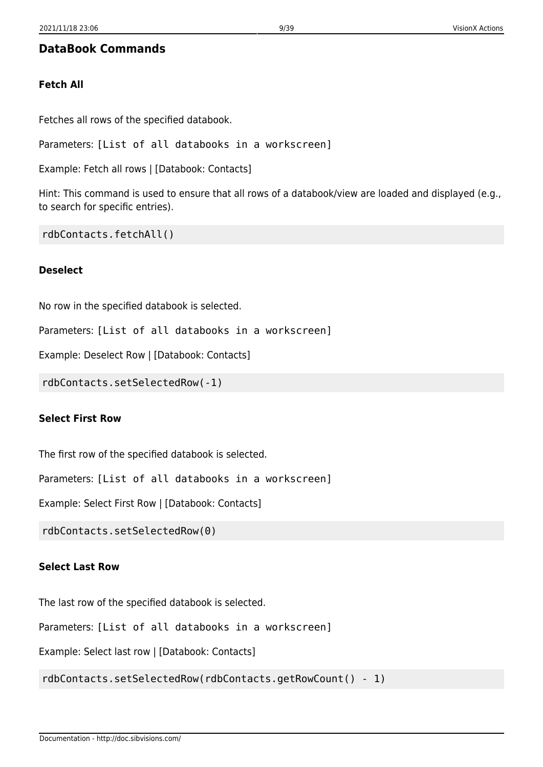## <span id="page-9-0"></span>**DataBook Commands**

#### **Fetch All**

Fetches all rows of the specified databook.

Parameters: [List of all databooks in a workscreen]

Example: Fetch all rows | [Databook: Contacts]

Hint: This command is used to ensure that all rows of a databook/view are loaded and displayed (e.g., to search for specific entries).

rdbContacts.fetchAll()

#### **Deselect**

No row in the specified databook is selected.

Parameters: [List of all databooks in a workscreen]

Example: Deselect Row | [Databook: Contacts]

rdbContacts.setSelectedRow(-1)

#### **Select First Row**

The first row of the specified databook is selected.

Parameters: [List of all databooks in a workscreen]

Example: Select First Row | [Databook: Contacts]

rdbContacts.setSelectedRow(0)

#### **Select Last Row**

The last row of the specified databook is selected.

Parameters: [List of all databooks in a workscreen]

Example: Select last row | [Databook: Contacts]

rdbContacts.setSelectedRow(rdbContacts.getRowCount() - 1)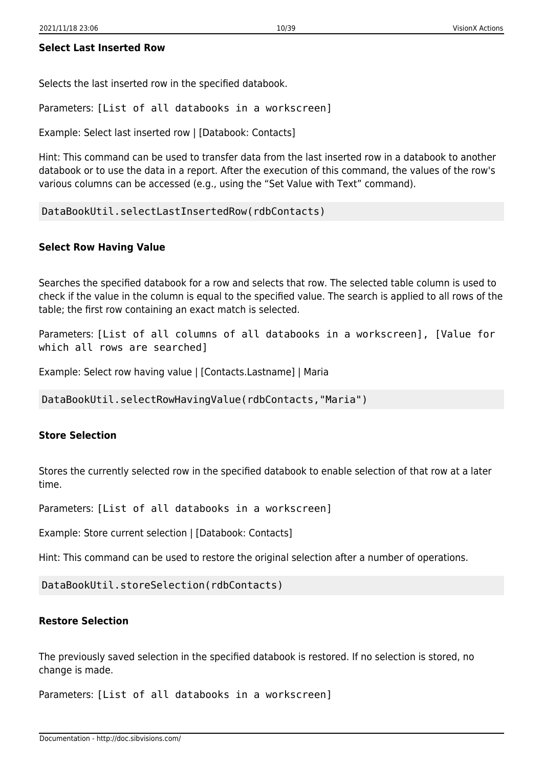Selects the last inserted row in the specified databook.

Parameters: [List of all databooks in a workscreen]

Example: Select last inserted row | [Databook: Contacts]

Hint: This command can be used to transfer data from the last inserted row in a databook to another databook or to use the data in a report. After the execution of this command, the values of the row's various columns can be accessed (e.g., using the "Set Value with Text" command).

```
DataBookUtil.selectLastInsertedRow(rdbContacts)
```
#### **Select Row Having Value**

Searches the specified databook for a row and selects that row. The selected table column is used to check if the value in the column is equal to the specified value. The search is applied to all rows of the table; the first row containing an exact match is selected.

Parameters: [List of all columns of all databooks in a workscreen], [Value for which all rows are searched]

Example: Select row having value | [Contacts.Lastname] | Maria

DataBookUtil.selectRowHavingValue(rdbContacts,"Maria")

#### **Store Selection**

Stores the currently selected row in the specified databook to enable selection of that row at a later time.

Parameters: [List of all databooks in a workscreen]

Example: Store current selection | [Databook: Contacts]

Hint: This command can be used to restore the original selection after a number of operations.

DataBookUtil.storeSelection(rdbContacts)

#### **Restore Selection**

The previously saved selection in the specified databook is restored. If no selection is stored, no change is made.

Parameters: [List of all databooks in a workscreen]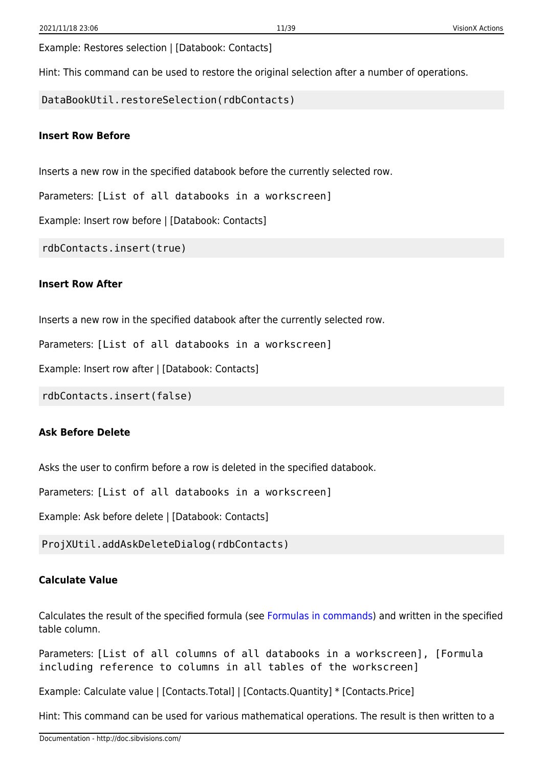Example: Restores selection | [Databook: Contacts]

Hint: This command can be used to restore the original selection after a number of operations.

DataBookUtil.restoreSelection(rdbContacts)

#### **Insert Row Before**

Inserts a new row in the specified databook before the currently selected row.

Parameters: [List of all databooks in a workscreen]

Example: Insert row before | [Databook: Contacts]

rdbContacts.insert(true)

#### **Insert Row After**

Inserts a new row in the specified databook after the currently selected row.

Parameters: [List of all databooks in a workscreen]

Example: Insert row after | [Databook: Contacts]

rdbContacts.insert(false)

#### **Ask Before Delete**

Asks the user to confirm before a row is deleted in the specified databook.

Parameters: [List of all databooks in a workscreen]

Example: Ask before delete | [Databook: Contacts]

ProjXUtil.addAskDeleteDialog(rdbContacts)

#### **Calculate Value**

Calculates the result of the specified formula (see [Formulas in commands\)](#page-6-4) and written in the specified table column.

Parameters: [List of all columns of all databooks in a workscreen], [Formula including reference to columns in all tables of the workscreen]

Example: Calculate value | [Contacts.Total] | [Contacts.Quantity] \* [Contacts.Price]

Hint: This command can be used for various mathematical operations. The result is then written to a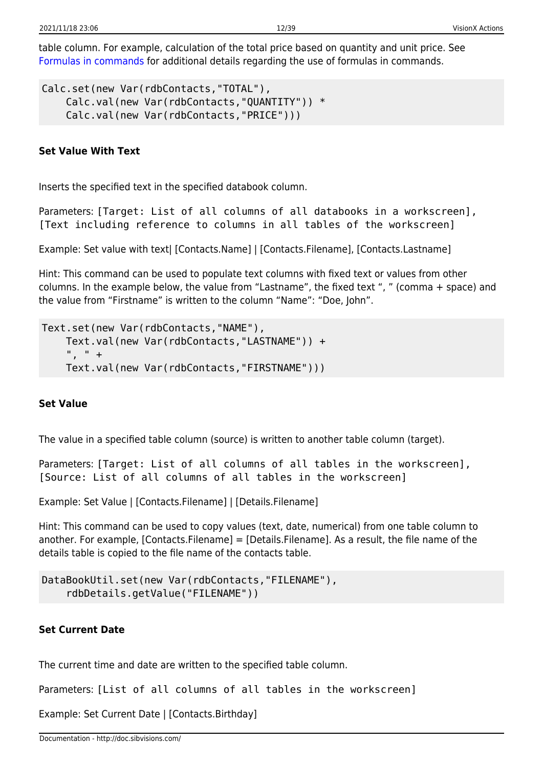table column. For example, calculation of the total price based on quantity and unit price. See [Formulas in commands](#page-6-4) for additional details regarding the use of formulas in commands.

```
Calc.set(new Var(rdbContacts,"TOTAL"),
     Calc.val(new Var(rdbContacts,"QUANTITY")) *
     Calc.val(new Var(rdbContacts,"PRICE")))
```
### **Set Value With Text**

Inserts the specified text in the specified databook column.

Parameters: [Target: List of all columns of all databooks in a workscreen], [Text including reference to columns in all tables of the workscreen]

Example: Set value with text| [Contacts.Name] | [Contacts.Filename], [Contacts.Lastname]

Hint: This command can be used to populate text columns with fixed text or values from other columns. In the example below, the value from "Lastname", the fixed text ", " (comma + space) and the value from "Firstname" is written to the column "Name": "Doe, John".

```
Text.set(new Var(rdbContacts,"NAME"),
     Text.val(new Var(rdbContacts,"LASTNAME")) +
     ", " +
     Text.val(new Var(rdbContacts,"FIRSTNAME")))
```
#### **Set Value**

The value in a specified table column (source) is written to another table column (target).

Parameters: [Target: List of all columns of all tables in the workscreen], [Source: List of all columns of all tables in the workscreen]

Example: Set Value | [Contacts.Filename] | [Details.Filename]

Hint: This command can be used to copy values (text, date, numerical) from one table column to another. For example, [Contacts.Filename] = [Details.Filename]. As a result, the file name of the details table is copied to the file name of the contacts table.

```
DataBookUtil.set(new Var(rdbContacts,"FILENAME"),
     rdbDetails.getValue("FILENAME"))
```
### **Set Current Date**

The current time and date are written to the specified table column.

Parameters: [List of all columns of all tables in the workscreen]

Example: Set Current Date | [Contacts.Birthday]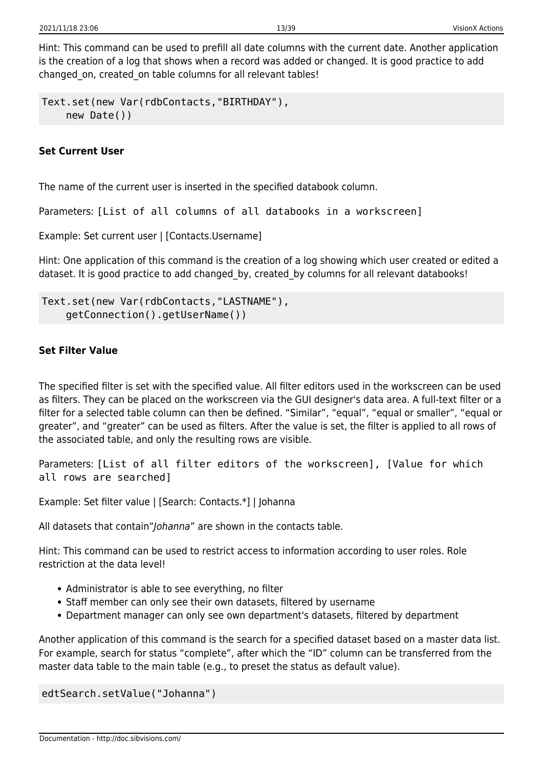Hint: This command can be used to prefill all date columns with the current date. Another application is the creation of a log that shows when a record was added or changed. It is good practice to add changed on, created on table columns for all relevant tables!

```
Text.set(new Var(rdbContacts,"BIRTHDAY"),
     new Date())
```
### **Set Current User**

The name of the current user is inserted in the specified databook column.

Parameters: [List of all columns of all databooks in a workscreen]

Example: Set current user | [Contacts.Username]

Hint: One application of this command is the creation of a log showing which user created or edited a dataset. It is good practice to add changed by, created by columns for all relevant databooks!

```
Text.set(new Var(rdbContacts,"LASTNAME"),
     getConnection().getUserName())
```
### **Set Filter Value**

The specified filter is set with the specified value. All filter editors used in the workscreen can be used as filters. They can be placed on the workscreen via the GUI designer's data area. A full-text filter or a filter for a selected table column can then be defined. "Similar", "equal", "equal or smaller", "equal or greater", and "greater" can be used as filters. After the value is set, the filter is applied to all rows of the associated table, and only the resulting rows are visible.

Parameters: [List of all filter editors of the workscreen], [Value for which all rows are searched]

Example: Set filter value | [Search: Contacts.\*] | Johanna

All datasets that contain"Johanna" are shown in the contacts table.

Hint: This command can be used to restrict access to information according to user roles. Role restriction at the data level!

- Administrator is able to see everything, no filter
- Staff member can only see their own datasets, filtered by username
- Department manager can only see own department's datasets, filtered by department

Another application of this command is the search for a specified dataset based on a master data list. For example, search for status "complete", after which the "ID" column can be transferred from the master data table to the main table (e.g., to preset the status as default value).

edtSearch.setValue("Johanna")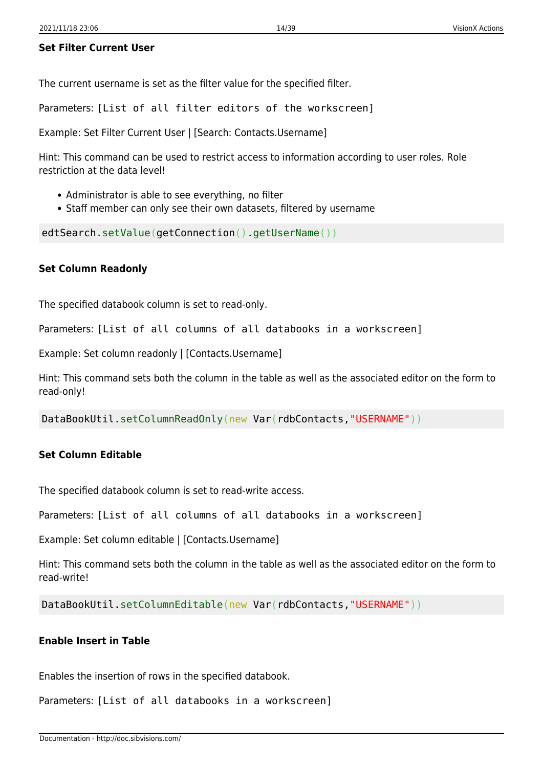#### **Set Filter Current User**

The current username is set as the filter value for the specified filter.

Parameters: [List of all filter editors of the workscreen]

Example: Set Filter Current User | [Search: Contacts.Username]

Hint: This command can be used to restrict access to information according to user roles. Role restriction at the data level!

- Administrator is able to see everything, no filter
- Staff member can only see their own datasets, filtered by username

edtSearch.setValue(getConnection().getUserName())

#### **Set Column Readonly**

The specified databook column is set to read-only.

Parameters: [List of all columns of all databooks in a workscreen]

Example: Set column readonly | [Contacts.Username]

Hint: This command sets both the column in the table as well as the associated editor on the form to read-only!

DataBookUtil.setColumnReadOnly(new Var(rdbContacts,"USERNAME"))

#### **Set Column Editable**

The specified databook column is set to read-write access.

Parameters: [List of all columns of all databooks in a workscreen]

Example: Set column editable | [Contacts.Username]

Hint: This command sets both the column in the table as well as the associated editor on the form to read-write!

DataBookUtil.setColumnEditable(new Var(rdbContacts,"USERNAME"))

#### **Enable Insert in Table**

Enables the insertion of rows in the specified databook.

Parameters: [List of all databooks in a workscreen]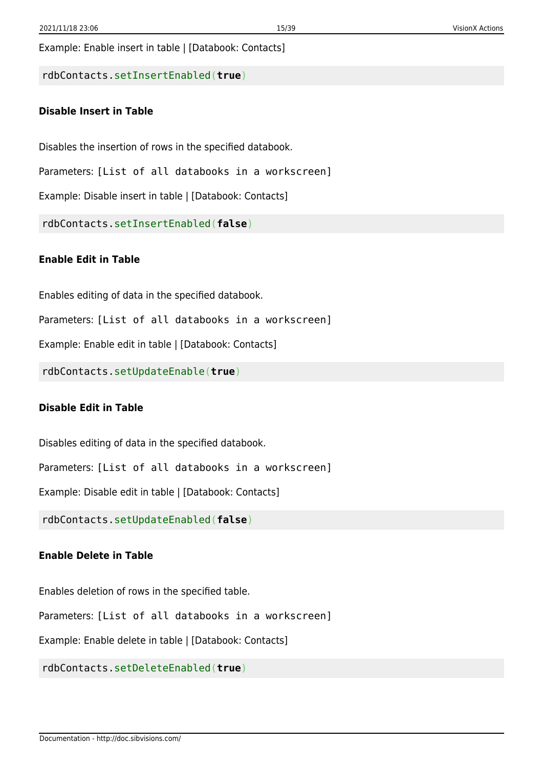Example: Enable insert in table | [Databook: Contacts]

rdbContacts.setInsertEnabled(**true**)

#### **Disable Insert in Table**

Disables the insertion of rows in the specified databook.

Parameters: [List of all databooks in a workscreen]

Example: Disable insert in table | [Databook: Contacts]

rdbContacts.setInsertEnabled(**false**)

#### **Enable Edit in Table**

Enables editing of data in the specified databook.

Parameters: [List of all databooks in a workscreen]

Example: Enable edit in table | [Databook: Contacts]

rdbContacts.setUpdateEnable(**true**)

#### **Disable Edit in Table**

Disables editing of data in the specified databook.

Parameters: [List of all databooks in a workscreen]

Example: Disable edit in table | [Databook: Contacts]

rdbContacts.setUpdateEnabled(**false**)

#### **Enable Delete in Table**

Enables deletion of rows in the specified table.

Parameters: [List of all databooks in a workscreen]

Example: Enable delete in table | [Databook: Contacts]

rdbContacts.setDeleteEnabled(**true**)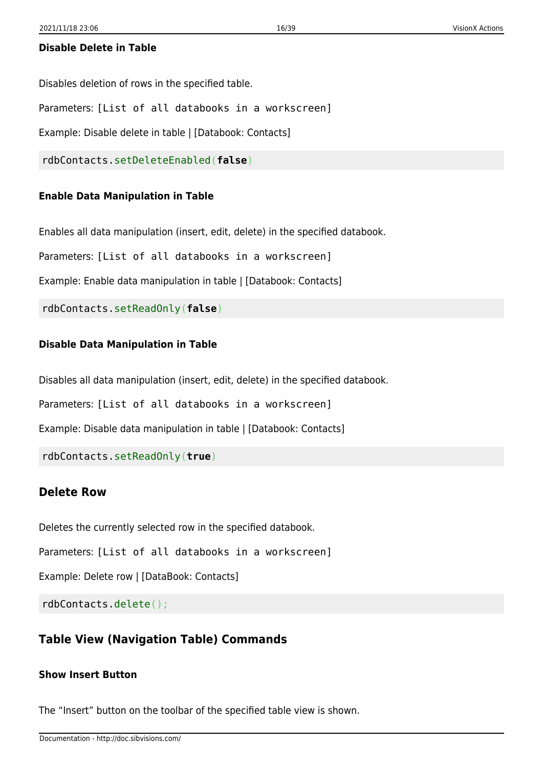#### **Disable Delete in Table**

Disables deletion of rows in the specified table.

Parameters: [List of all databooks in a workscreen]

Example: Disable delete in table | [Databook: Contacts]

rdbContacts.setDeleteEnabled(**false**)

#### **Enable Data Manipulation in Table**

Enables all data manipulation (insert, edit, delete) in the specified databook.

Parameters: [List of all databooks in a workscreen]

Example: Enable data manipulation in table | [Databook: Contacts]

rdbContacts.setReadOnly(**false**)

#### **Disable Data Manipulation in Table**

Disables all data manipulation (insert, edit, delete) in the specified databook.

Parameters: [List of all databooks in a workscreen]

Example: Disable data manipulation in table | [Databook: Contacts]

rdbContacts.setReadOnly(**true**)

#### <span id="page-16-0"></span>**Delete Row**

Deletes the currently selected row in the specified databook.

Parameters: [List of all databooks in a workscreen]

Example: Delete row | [DataBook: Contacts]

rdbContacts.delete();

#### <span id="page-16-1"></span>**Table View (Navigation Table) Commands**

#### **Show Insert Button**

The "Insert" button on the toolbar of the specified table view is shown.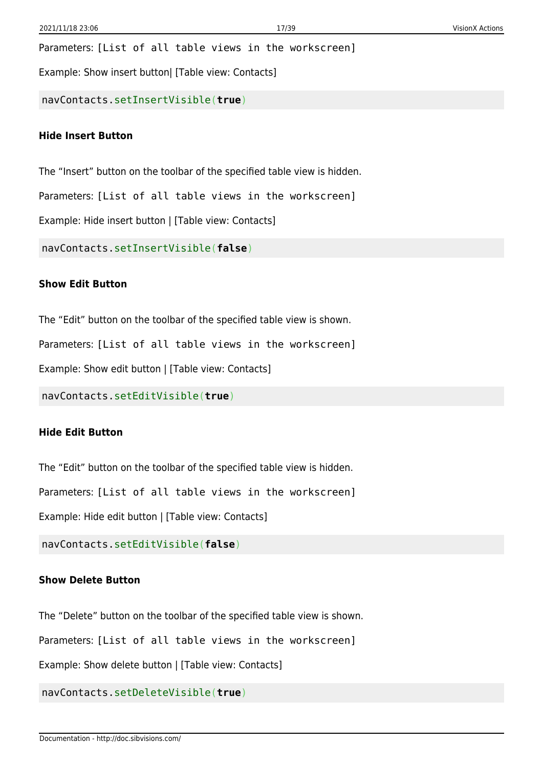Parameters: [List of all table views in the workscreen]

Example: Show insert button| [Table view: Contacts]

navContacts.setInsertVisible(**true**)

#### **Hide Insert Button**

The "Insert" button on the toolbar of the specified table view is hidden.

Parameters: [List of all table views in the workscreen]

Example: Hide insert button | [Table view: Contacts]

navContacts.setInsertVisible(**false**)

#### **Show Edit Button**

The "Edit" button on the toolbar of the specified table view is shown.

Parameters: [List of all table views in the workscreen]

Example: Show edit button | [Table view: Contacts]

navContacts.setEditVisible(**true**)

#### **Hide Edit Button**

The "Edit" button on the toolbar of the specified table view is hidden.

Parameters: [List of all table views in the workscreen]

Example: Hide edit button | [Table view: Contacts]

navContacts.setEditVisible(**false**)

#### **Show Delete Button**

The "Delete" button on the toolbar of the specified table view is shown.

Parameters: [List of all table views in the workscreen]

Example: Show delete button | [Table view: Contacts]

navContacts.setDeleteVisible(**true**)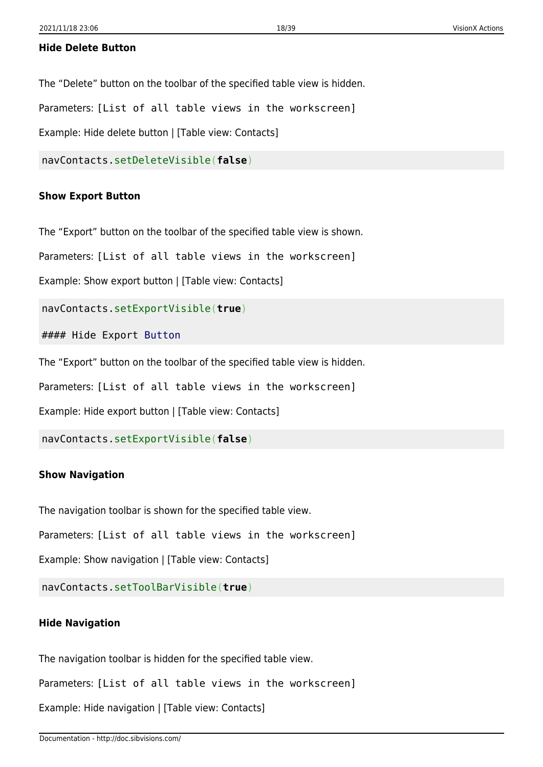#### **Hide Delete Button**

The "Delete" button on the toolbar of the specified table view is hidden.

Parameters: [List of all table views in the workscreen]

Example: Hide delete button | [Table view: Contacts]

navContacts.setDeleteVisible(**false**)

#### **Show Export Button**

The "Export" button on the toolbar of the specified table view is shown.

Parameters: [List of all table views in the workscreen]

Example: Show export button | [Table view: Contacts]

navContacts.setExportVisible(**true**)

#### Hide Export [Button](http://www.google.com/search?hl=en&q=allinurl%3Adocs.oracle.com+javase+docs+api+button)

The "Export" button on the toolbar of the specified table view is hidden.

Parameters: [List of all table views in the workscreen]

Example: Hide export button | [Table view: Contacts]

navContacts.setExportVisible(**false**)

#### **Show Navigation**

The navigation toolbar is shown for the specified table view.

Parameters: [List of all table views in the workscreen]

Example: Show navigation | [Table view: Contacts]

navContacts.setToolBarVisible(**true**)

#### **Hide Navigation**

The navigation toolbar is hidden for the specified table view.

Parameters: [List of all table views in the workscreen]

Example: Hide navigation | [Table view: Contacts]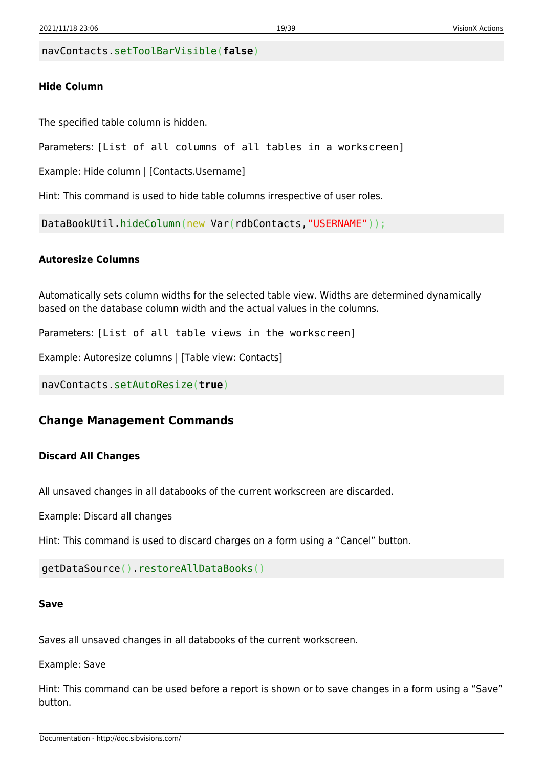navContacts.setToolBarVisible(**false**)

#### **Hide Column**

The specified table column is hidden.

Parameters: [List of all columns of all tables in a workscreen]

Example: Hide column | [Contacts.Username]

Hint: This command is used to hide table columns irrespective of user roles.

DataBookUtil.hideColumn(new Var(rdbContacts,"USERNAME"));

#### **Autoresize Columns**

Automatically sets column widths for the selected table view. Widths are determined dynamically based on the database column width and the actual values in the columns.

Parameters: [List of all table views in the workscreen]

Example: Autoresize columns | [Table view: Contacts]

navContacts.setAutoResize(**true**)

#### <span id="page-19-0"></span>**Change Management Commands**

#### **Discard All Changes**

All unsaved changes in all databooks of the current workscreen are discarded.

Example: Discard all changes

Hint: This command is used to discard charges on a form using a "Cancel" button.

getDataSource().restoreAllDataBooks()

#### **Save**

Saves all unsaved changes in all databooks of the current workscreen.

Example: Save

Hint: This command can be used before a report is shown or to save changes in a form using a "Save" button.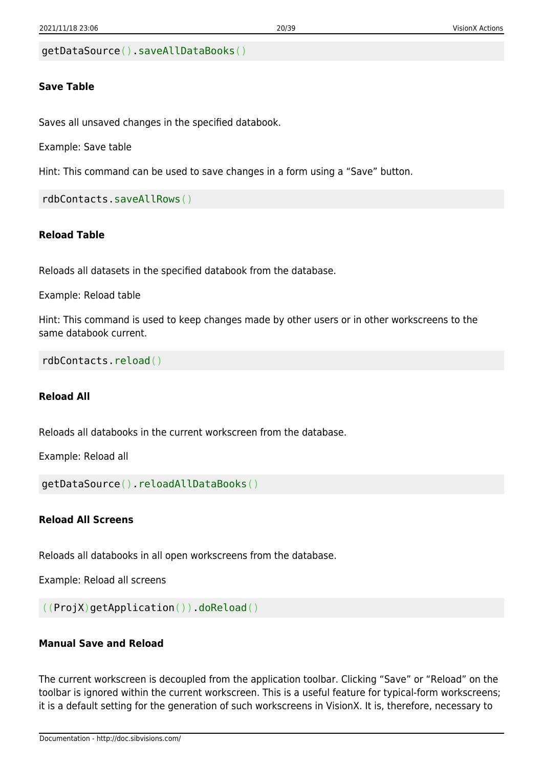```
getDataSource().saveAllDataBooks()
```
#### **Save Table**

Saves all unsaved changes in the specified databook.

Example: Save table

Hint: This command can be used to save changes in a form using a "Save" button.

```
rdbContacts.saveAllRows()
```
#### **Reload Table**

Reloads all datasets in the specified databook from the database.

Example: Reload table

Hint: This command is used to keep changes made by other users or in other workscreens to the same databook current.

rdbContacts.reload()

#### **Reload All**

Reloads all databooks in the current workscreen from the database.

Example: Reload all

getDataSource().reloadAllDataBooks()

#### **Reload All Screens**

Reloads all databooks in all open workscreens from the database.

Example: Reload all screens

```
((ProjX)getApplication()).doReload()
```
#### **Manual Save and Reload**

The current workscreen is decoupled from the application toolbar. Clicking "Save" or "Reload" on the toolbar is ignored within the current workscreen. This is a useful feature for typical-form workscreens; it is a default setting for the generation of such workscreens in VisionX. It is, therefore, necessary to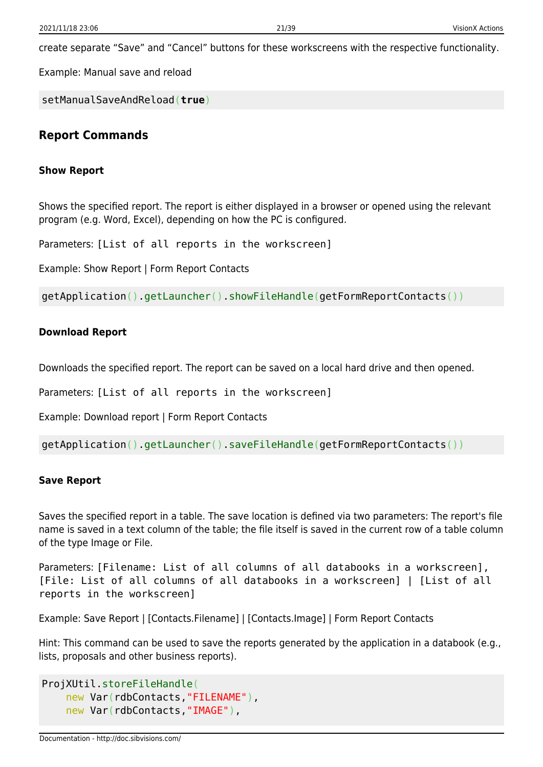create separate "Save" and "Cancel" buttons for these workscreens with the respective functionality.

Example: Manual save and reload

setManualSaveAndReload(**true**)

#### <span id="page-21-0"></span>**Report Commands**

#### **Show Report**

Shows the specified report. The report is either displayed in a browser or opened using the relevant program (e.g. Word, Excel), depending on how the PC is configured.

Parameters: [List of all reports in the workscreen]

Example: Show Report | Form Report Contacts

getApplication().getLauncher().showFileHandle(getFormReportContacts())

#### **Download Report**

Downloads the specified report. The report can be saved on a local hard drive and then opened.

Parameters: [List of all reports in the workscreen]

Example: Download report | Form Report Contacts

getApplication().getLauncher().saveFileHandle(getFormReportContacts())

#### **Save Report**

Saves the specified report in a table. The save location is defined via two parameters: The report's file name is saved in a text column of the table; the file itself is saved in the current row of a table column of the type Image or File.

Parameters: [Filename: List of all columns of all databooks in a workscreen], [File: List of all columns of all databooks in a workscreen] | [List of all reports in the workscreen]

Example: Save Report | [Contacts.Filename] | [Contacts.Image] | Form Report Contacts

Hint: This command can be used to save the reports generated by the application in a databook (e.g., lists, proposals and other business reports).

```
ProjXUtil.storeFileHandle(
    new Var(rdbContacts, "FILENAME"),
     new Var(rdbContacts,"IMAGE"),
```
Documentation - http://doc.sibvisions.com/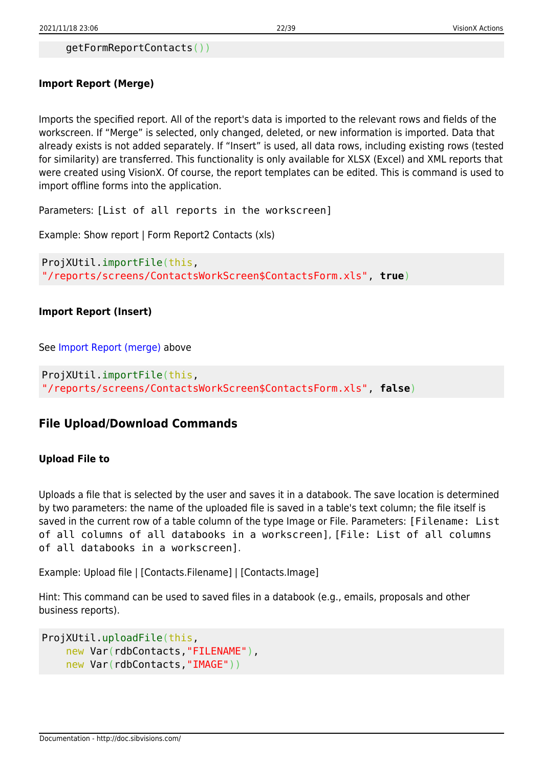```
 getFormReportContacts())
```
### <span id="page-22-1"></span>**Import Report (Merge)**

Imports the specified report. All of the report's data is imported to the relevant rows and fields of the workscreen. If "Merge" is selected, only changed, deleted, or new information is imported. Data that already exists is not added separately. If "Insert" is used, all data rows, including existing rows (tested for similarity) are transferred. This functionality is only available for XLSX (Excel) and XML reports that were created using VisionX. Of course, the report templates can be edited. This is command is used to import offline forms into the application.

Parameters: [List of all reports in the workscreen]

Example: Show report | Form Report2 Contacts (xls)

```
ProjXUtil.importFile(this,
"/reports/screens/ContactsWorkScreen$ContactsForm.xls", true)
```
### **Import Report (Insert)**

See [Import Report \(merge\)](#page-22-1) above

ProjXUtil.importFile(this, "/reports/screens/ContactsWorkScreen\$ContactsForm.xls", **false**)

## <span id="page-22-0"></span>**File Upload/Download Commands**

### **Upload File to**

Uploads a file that is selected by the user and saves it in a databook. The save location is determined by two parameters: the name of the uploaded file is saved in a table's text column; the file itself is saved in the current row of a table column of the type Image or File. Parameters: [Filename: List of all columns of all databooks in a workscreen], [File: List of all columns of all databooks in a workscreen].

Example: Upload file | [Contacts.Filename] | [Contacts.Image]

Hint: This command can be used to saved files in a databook (e.g., emails, proposals and other business reports).

```
ProjXUtil.uploadFile(this,
    new Var(rdbContacts, "FILENAME"),
     new Var(rdbContacts,"IMAGE"))
```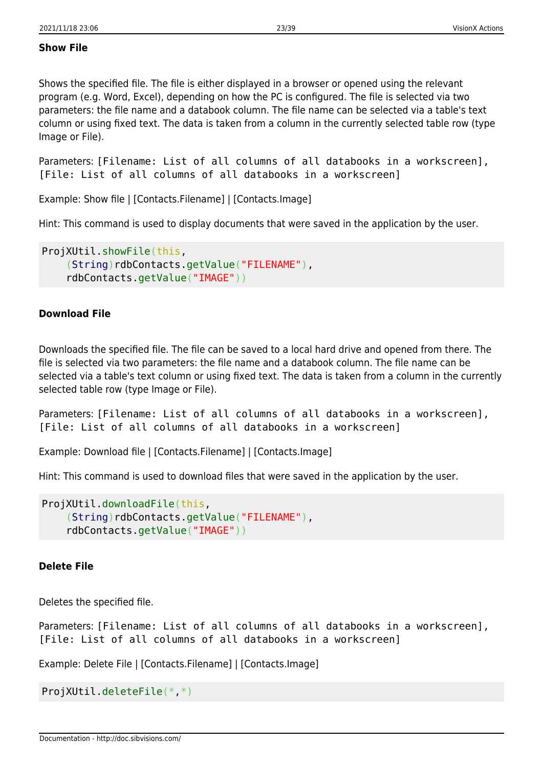#### **Show File**

Shows the specified file. The file is either displayed in a browser or opened using the relevant program (e.g. Word, Excel), depending on how the PC is configured. The file is selected via two parameters: the file name and a databook column. The file name can be selected via a table's text column or using fixed text. The data is taken from a column in the currently selected table row (type Image or File).

Parameters: [Filename: List of all columns of all databooks in a workscreen], [File: List of all columns of all databooks in a workscreen]

Example: Show file | [Contacts.Filename] | [Contacts.Image]

Hint: This command is used to display documents that were saved in the application by the user.

```
ProjXUtil.showFile(this,
     (String)rdbContacts.getValue("FILENAME"),
     rdbContacts.getValue("IMAGE"))
```
#### **Download File**

Downloads the specified file. The file can be saved to a local hard drive and opened from there. The file is selected via two parameters: the file name and a databook column. The file name can be selected via a table's text column or using fixed text. The data is taken from a column in the currently selected table row (type Image or File).

Parameters: [Filename: List of all columns of all databooks in a workscreen], [File: List of all columns of all databooks in a workscreen]

Example: Download file | [Contacts.Filename] | [Contacts.Image]

Hint: This command is used to download files that were saved in the application by the user.

```
ProjXUtil.downloadFile(this,
    String)rdbContacts.getValue("FILENAME"),
     rdbContacts.getValue("IMAGE"))
```
#### **Delete File**

Deletes the specified file.

Parameters: [Filename: List of all columns of all databooks in a workscreen], [File: List of all columns of all databooks in a workscreen]

Example: Delete File | [Contacts.Filename] | [Contacts.Image]

ProjXUtil.deleteFile(\*,\*)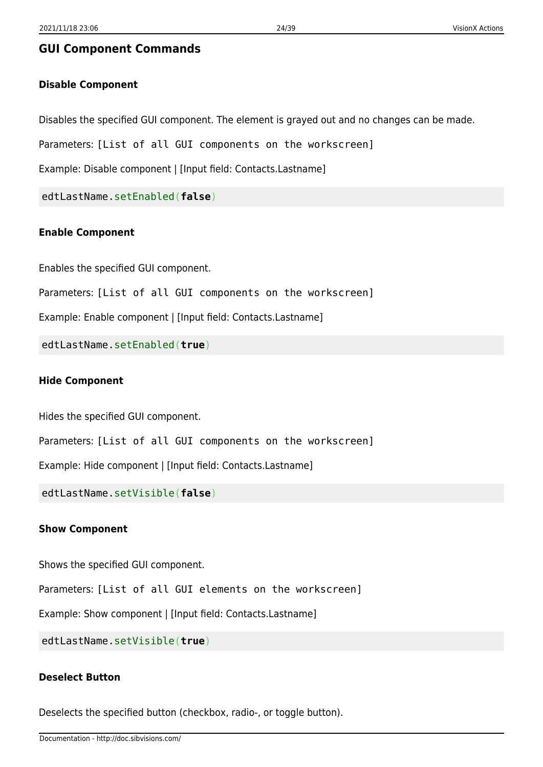#### <span id="page-24-0"></span>**GUI Component Commands**

#### **Disable Component**

Disables the specified GUI component. The element is grayed out and no changes can be made.

Parameters: [List of all GUI components on the workscreen]

Example: Disable component | [Input field: Contacts.Lastname]

edtLastName.setEnabled(**false**)

#### **Enable Component**

Enables the specified GUI component.

Parameters: [List of all GUI components on the workscreen]

Example: Enable component | [Input field: Contacts.Lastname]

edtLastName.setEnabled(**true**)

#### **Hide Component**

Hides the specified GUI component.

Parameters: [List of all GUI components on the workscreen]

Example: Hide component | [Input field: Contacts.Lastname]

edtLastName.setVisible(**false**)

#### **Show Component**

Shows the specified GUI component.

Parameters: [List of all GUI elements on the workscreen]

Example: Show component | [Input field: Contacts.Lastname]

edtLastName.setVisible(**true**)

#### **Deselect Button**

Deselects the specified button (checkbox, radio-, or toggle button).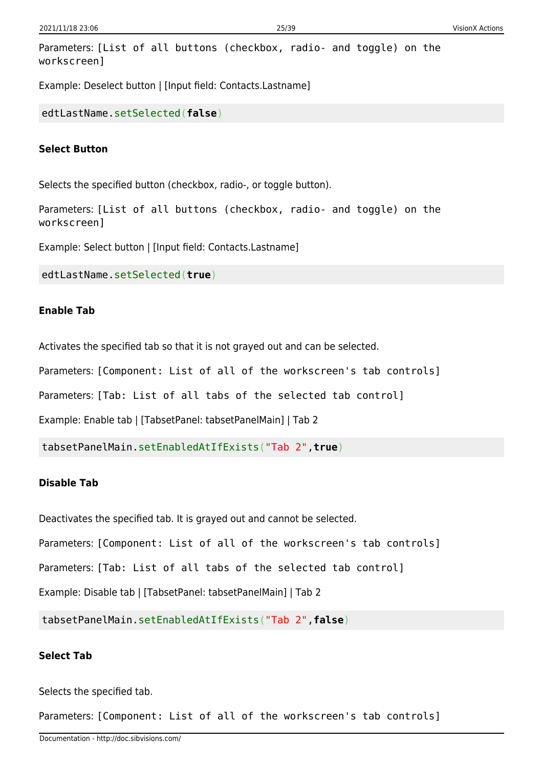```
Parameters: [List of all buttons (checkbox, radio- and toggle) on the
workscreen]
```
Example: Deselect button | [Input field: Contacts.Lastname]

edtLastName.setSelected(**false**)

#### **Select Button**

Selects the specified button (checkbox, radio-, or toggle button).

Parameters: [List of all buttons (checkbox, radio- and toggle) on the workscreen]

Example: Select button | [Input field: Contacts.Lastname]

edtLastName.setSelected(**true**)

#### **Enable Tab**

Activates the specified tab so that it is not grayed out and can be selected.

Parameters: [Component: List of all of the workscreen's tab controls]

Parameters: [Tab: List of all tabs of the selected tab control]

Example: Enable tab | [TabsetPanel: tabsetPanelMain] | Tab 2

tabsetPanelMain.setEnabledAtIfExists("Tab 2",**true**)

#### **Disable Tab**

Deactivates the specified tab. It is grayed out and cannot be selected.

Parameters: [Component: List of all of the workscreen's tab controls]

Parameters: [Tab: List of all tabs of the selected tab control]

Example: Disable tab | [TabsetPanel: tabsetPanelMain] | Tab 2

tabsetPanelMain.setEnabledAtIfExists("Tab 2",**false**)

#### **Select Tab**

Selects the specified tab.

Parameters: [Component: List of all of the workscreen's tab controls]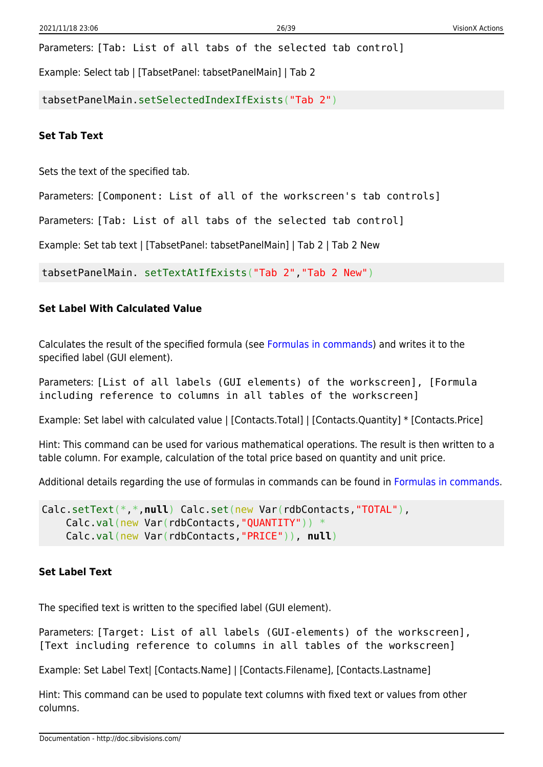Parameters: [Tab: List of all tabs of the selected tab control]

Example: Select tab | [TabsetPanel: tabsetPanelMain] | Tab 2

tabsetPanelMain.setSelectedIndexIfExists("Tab 2")

**Set Tab Text**

Sets the text of the specified tab.

Parameters: [Component: List of all of the workscreen's tab controls]

Parameters: [Tab: List of all tabs of the selected tab control]

Example: Set tab text | [TabsetPanel: tabsetPanelMain] | Tab 2 | Tab 2 New

tabsetPanelMain. setTextAtIfExists("Tab 2","Tab 2 New")

#### **Set Label With Calculated Value**

Calculates the result of the specified formula (see [Formulas in commands\)](#page-6-4) and writes it to the specified label (GUI element).

Parameters: [List of all labels (GUI elements) of the workscreen], [Formula including reference to columns in all tables of the workscreen]

Example: Set label with calculated value | [Contacts.Total] | [Contacts.Quantity] \* [Contacts.Price]

Hint: This command can be used for various mathematical operations. The result is then written to a table column. For example, calculation of the total price based on quantity and unit price.

Additional details regarding the use of formulas in commands can be found in [Formulas in commands.](#page-6-4)

```
Calc.setText(*,*,null) Calc.set(new Var(rdbContacts,"TOTAL"),
    Calc.val(new Var(rdbContacts,"QUANTITY")) *
     Calc.val(new Var(rdbContacts,"PRICE")), null)
```
#### **Set Label Text**

The specified text is written to the specified label (GUI element).

Parameters: [Target: List of all labels (GUI-elements) of the workscreen], [Text including reference to columns in all tables of the workscreen]

Example: Set Label Text| [Contacts.Name] | [Contacts.Filename], [Contacts.Lastname]

Hint: This command can be used to populate text columns with fixed text or values from other columns.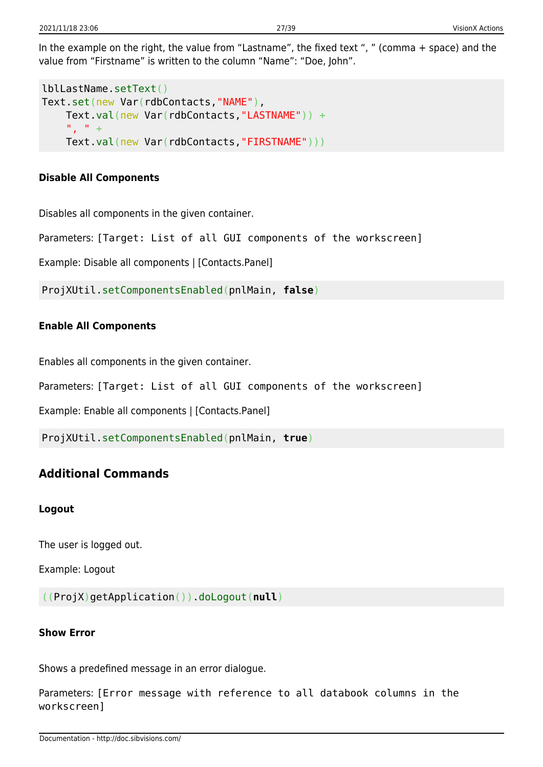In the example on the right, the value from "Lastname", the fixed text ", " (comma + space) and the value from "Firstname" is written to the column "Name": "Doe, John".

```
lblLastName.setText()
Text.set(new Var(rdbContacts,"NAME"),
    Text.val(new Var(rdbContacts,"LASTNAME")) +
     ", " +
     Text.val(new Var(rdbContacts,"FIRSTNAME")))
```
### **Disable All Components**

Disables all components in the given container.

Parameters: [Target: List of all GUI components of the workscreen]

Example: Disable all components | [Contacts.Panel]

ProjXUtil.setComponentsEnabled(pnlMain, **false**)

### **Enable All Components**

Enables all components in the given container.

Parameters: [Target: List of all GUI components of the workscreen]

Example: Enable all components | [Contacts.Panel]

ProjXUtil.setComponentsEnabled(pnlMain, **true**)

## <span id="page-27-0"></span>**Additional Commands**

#### **Logout**

The user is logged out.

Example: Logout

((ProjX)getApplication()).doLogout(**null**)

### **Show Error**

Shows a predefined message in an error dialogue.

Parameters: [Error message with reference to all databook columns in the workscreen]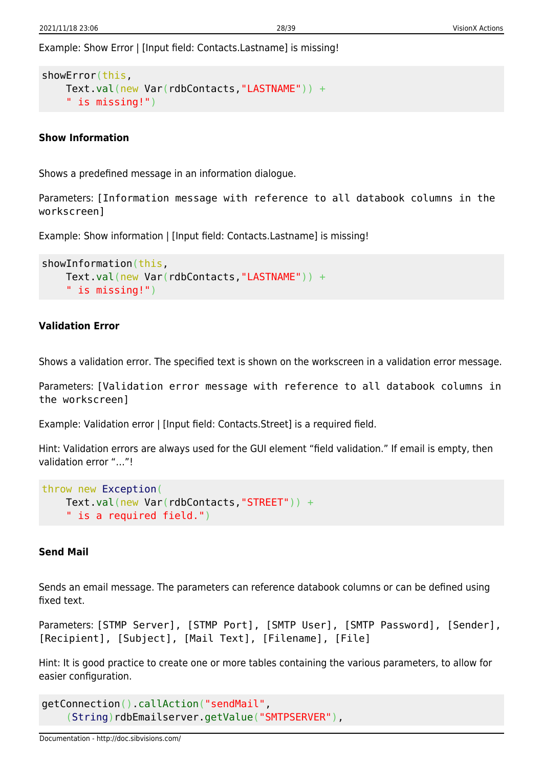Example: Show Error | [Input field: Contacts.Lastname] is missing!

```
showError(this,
    Text.val(new Var(rdbContacts,"LASTNAME")) +
     " is missing!")
```
#### **Show Information**

Shows a predefined message in an information dialogue.

Parameters: [Information message with reference to all databook columns in the workscreen]

Example: Show information | [Input field: Contacts.Lastname] is missing!

```
showInformation(this,
    Text.val(new Var(rdbContacts,"LASTNAME")) +
     " is missing!")
```
#### **Validation Error**

Shows a validation error. The specified text is shown on the workscreen in a validation error message.

Parameters: [Validation error message with reference to all databook columns in the workscreen]

Example: Validation error | [Input field: Contacts.Street] is a required field.

Hint: Validation errors are always used for the GUI element "field validation." If email is empty, then validation error "…"!

```
throw new Exception(
    Text.val(new Var(rdbContacts,"STREET")) +
     " is a required field.")
```
#### **Send Mail**

Sends an email message. The parameters can reference databook columns or can be defined using fixed text.

```
Parameters: [STMP Server], [STMP Port], [SMTP User], [SMTP Password], [Sender],
[Recipient], [Subject], [Mail Text], [Filename], [File]
```
Hint: It is good practice to create one or more tables containing the various parameters, to allow for easier configuration.

```
getConnection().callAction("sendMail",
     (String)rdbEmailserver.getValue("SMTPSERVER"),
```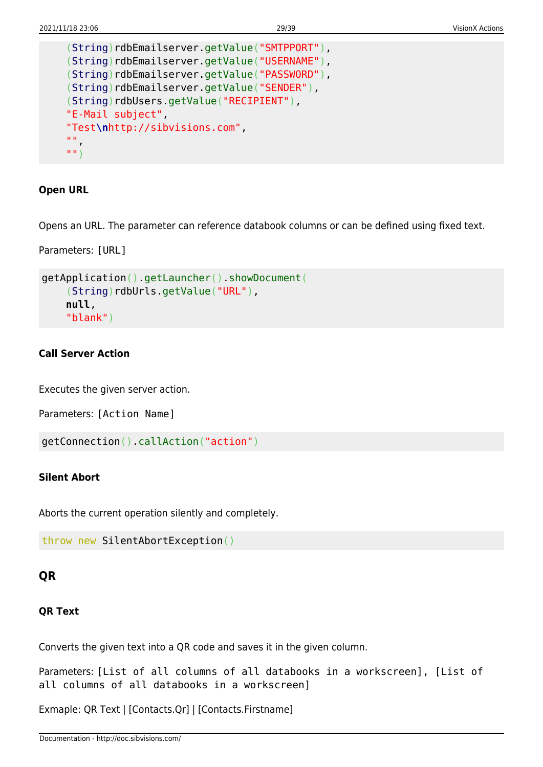```
String)rdbEmailserver.getValue("SMTPPORT"),
 (String)rdbEmailserver.getValue("USERNAME"),
 (String)rdbEmailserver.getValue("PASSWORD"),
 (String)rdbEmailserver.getValue("SENDER"),
String)rdbUsers.getValue("RECIPIENT"),
 "E-Mail subject",
 "Test\nhttp://sibvisions.com",
^{\rm m} ",
 "")
```
#### **Open URL**

Opens an URL. The parameter can reference databook columns or can be defined using fixed text.

Parameters: [URL]

```
getApplication().getLauncher().showDocument(
    String)rdbUrls.getValue("URL"),
     null,
     "blank")
```
#### **Call Server Action**

Executes the given server action.

Parameters: [Action Name]

```
getConnection().callAction("action")
```
#### **Silent Abort**

Aborts the current operation silently and completely.

```
throw new SilentAbortException()
```
#### <span id="page-29-0"></span>**QR**

#### **QR Text**

Converts the given text into a QR code and saves it in the given column.

Parameters: [List of all columns of all databooks in a workscreen], [List of all columns of all databooks in a workscreen]

Exmaple: QR Text | [Contacts.Qr] | [Contacts.Firstname]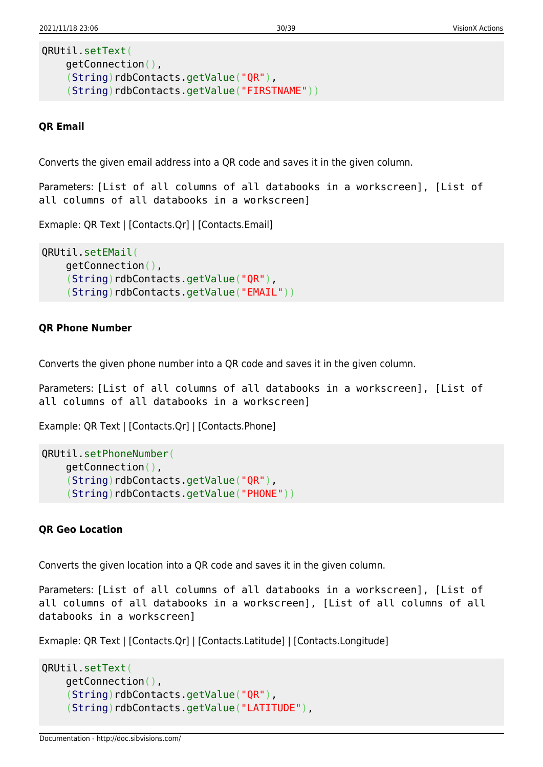```
QRUtil.setText(
     getConnection(),
     (String)rdbContacts.getValue("QR"),
    String)rdbContacts.getValue("FIRSTNAME"))
```
#### **QR Email**

Converts the given email address into a QR code and saves it in the given column.

Parameters: [List of all columns of all databooks in a workscreen], [List of all columns of all databooks in a workscreen]

Exmaple: QR Text | [Contacts.Qr] | [Contacts.Email]

```
QRUtil.setEMail(
     getConnection(),
     (String)rdbContacts.getValue("QR"),
    String)rdbContacts.getValue("EMAIL"))
```
#### **QR Phone Number**

Converts the given phone number into a QR code and saves it in the given column.

Parameters: [List of all columns of all databooks in a workscreen], [List of all columns of all databooks in a workscreen]

Example: QR Text | [Contacts.Qr] | [Contacts.Phone]

```
QRUtil.setPhoneNumber(
     getConnection(),
     (String)rdbContacts.getValue("QR"),
    String)rdbContacts.getValue("PHONE"))
```
#### **QR Geo Location**

Converts the given location into a QR code and saves it in the given column.

Parameters: [List of all columns of all databooks in a workscreen], [List of all columns of all databooks in a workscreen], [List of all columns of all databooks in a workscreen]

Exmaple: QR Text | [Contacts.Qr] | [Contacts.Latitude] | [Contacts.Longitude]

```
QRUtil.setText(
     getConnection(),
     (String)rdbContacts.getValue("QR"),
     (String)rdbContacts.getValue("LATITUDE"),
```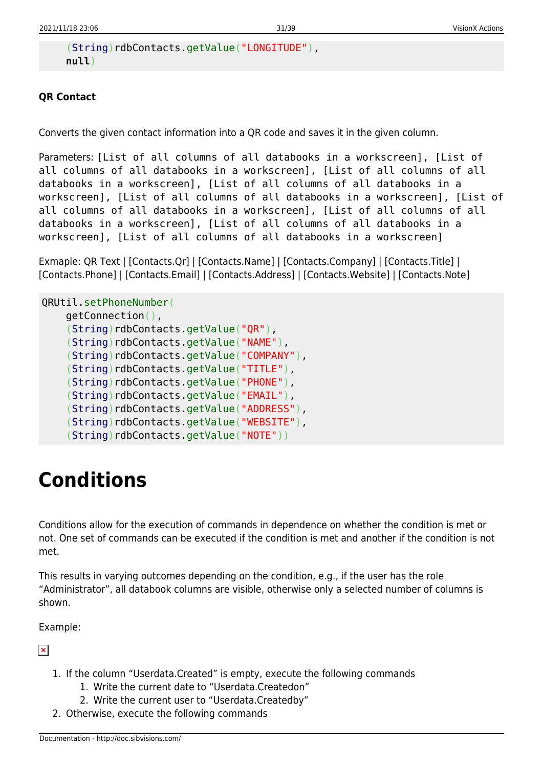```
String)rdbContacts.getValue("LONGITUDE"),
 null)
```
### **QR Contact**

Converts the given contact information into a QR code and saves it in the given column.

```
Parameters: [List of all columns of all databooks in a workscreen], [List of
all columns of all databooks in a workscreen], [List of all columns of all
databooks in a workscreen], [List of all columns of all databooks in a
workscreen], [List of all columns of all databooks in a workscreen], [List of
all columns of all databooks in a workscreen], [List of all columns of all
databooks in a workscreen], [List of all columns of all databooks in a
workscreen], [List of all columns of all databooks in a workscreen]
```
Exmaple: QR Text | [Contacts.Qr] | [Contacts.Name] | [Contacts.Company] | [Contacts.Title] | [Contacts.Phone] | [Contacts.Email] | [Contacts.Address] | [Contacts.Website] | [Contacts.Note]

```
QRUtil.setPhoneNumber(
    getConnection(),
     (String)rdbContacts.getValue("QR"),
    String)rdbContacts.getValue("NAME"),
     (String)rdbContacts.getValue("COMPANY"),
     (String)rdbContacts.getValue("TITLE"),
     (String)rdbContacts.getValue("PHONE"),
    String)rdbContacts.getValue("EMAIL"),
    String)rdbContacts.getValue("ADDRESS"),
    String)rdbContacts.getValue("WEBSITE"),
    String)rdbContacts.getValue("NOTE"))
```
# <span id="page-31-0"></span>**Conditions**

Conditions allow for the execution of commands in dependence on whether the condition is met or not. One set of commands can be executed if the condition is met and another if the condition is not met.

This results in varying outcomes depending on the condition, e.g., if the user has the role "Administrator", all databook columns are visible, otherwise only a selected number of columns is shown.

Example:

 $\pmb{\times}$ 

- 1. If the column "Userdata.Created" is empty, execute the following commands
	- 1. Write the current date to "Userdata.Createdon"
	- 2. Write the current user to "Userdata.Createdby"
- 2. Otherwise, execute the following commands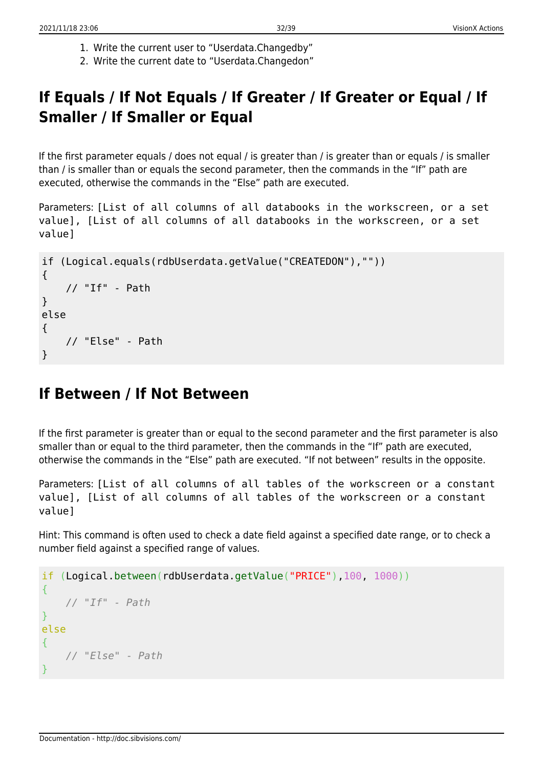- 1. Write the current user to "Userdata.Changedby"
- 2. Write the current date to "Userdata.Changedon"

## <span id="page-32-0"></span>**If Equals / If Not Equals / If Greater / If Greater or Equal / If Smaller / If Smaller or Equal**

If the first parameter equals / does not equal / is greater than / is greater than or equals / is smaller than / is smaller than or equals the second parameter, then the commands in the "If" path are executed, otherwise the commands in the "Else" path are executed.

Parameters: [List of all columns of all databooks in the workscreen, or a set value], [List of all columns of all databooks in the workscreen, or a set value]

```
if (Logical.equals(rdbUserdata.getValue("CREATEDON"),""))
{
     // "If" - Path
}
else
{
     // "Else" - Path
}
```
## <span id="page-32-1"></span>**If Between / If Not Between**

If the first parameter is greater than or equal to the second parameter and the first parameter is also smaller than or equal to the third parameter, then the commands in the "If" path are executed, otherwise the commands in the "Else" path are executed. "If not between" results in the opposite.

Parameters: [List of all columns of all tables of the workscreen or a constant value], [List of all columns of all tables of the workscreen or a constant value]

Hint: This command is often used to check a date field against a specified date range, or to check a number field against a specified range of values.

```
if (Logical.between(rdbUserdata.getValue("PRICE"),100, 1000))
{
     // "If" - Path
}
else
{
     // "Else" - Path
}
```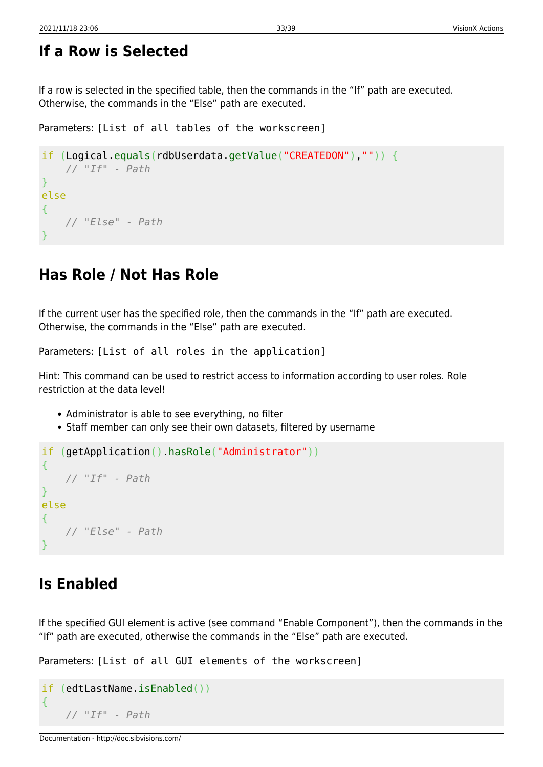## <span id="page-33-0"></span>**If a Row is Selected**

If a row is selected in the specified table, then the commands in the "If" path are executed. Otherwise, the commands in the "Else" path are executed.

Parameters: [List of all tables of the workscreen]

```
if (Logical.equals(rdbUserdata.getValue("CREATEDON"),"")) {
     // "If" - Path
}
else
{
     // "Else" - Path
}
```
## <span id="page-33-1"></span>**Has Role / Not Has Role**

If the current user has the specified role, then the commands in the "If" path are executed. Otherwise, the commands in the "Else" path are executed.

Parameters: [List of all roles in the application]

Hint: This command can be used to restrict access to information according to user roles. Role restriction at the data level!

- Administrator is able to see everything, no filter
- Staff member can only see their own datasets, filtered by username

```
if (getApplication().hasRole("Administrator"))
{
     // "If" - Path
}
else
{
     // "Else" - Path
}
```
## <span id="page-33-2"></span>**Is Enabled**

If the specified GUI element is active (see command "Enable Component"), then the commands in the "If" path are executed, otherwise the commands in the "Else" path are executed.

Parameters: [List of all GUI elements of the workscreen]

```
if (edtLastName.isEnabled())
{
     // "If" - Path
```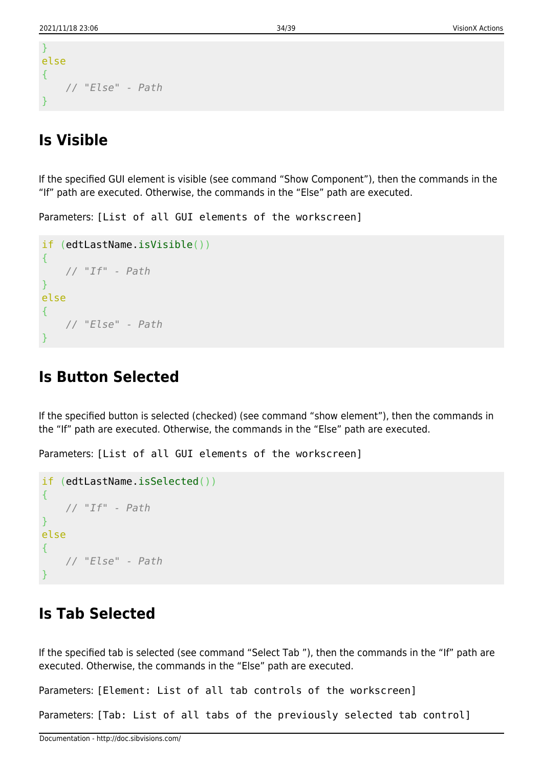```
}
else
{
     // "Else" - Path
}
```
## <span id="page-34-0"></span>**Is Visible**

If the specified GUI element is visible (see command "Show Component"), then the commands in the "If" path are executed. Otherwise, the commands in the "Else" path are executed.

Parameters: [List of all GUI elements of the workscreen]

```
if (edtLastName.isVisible())
{
     // "If" - Path
}
else
{
     // "Else" - Path
}
```
## <span id="page-34-1"></span>**Is Button Selected**

If the specified button is selected (checked) (see command "show element"), then the commands in the "If" path are executed. Otherwise, the commands in the "Else" path are executed.

Parameters: [List of all GUI elements of the workscreen]

```
if (edtLastName.isSelected())
{
     // "If" - Path
}
else
{
     // "Else" - Path
}
```
## <span id="page-34-2"></span>**Is Tab Selected**

If the specified tab is selected (see command "Select Tab "), then the commands in the "If" path are executed. Otherwise, the commands in the "Else" path are executed.

Parameters: [Element: List of all tab controls of the workscreen]

Parameters: [Tab: List of all tabs of the previously selected tab control]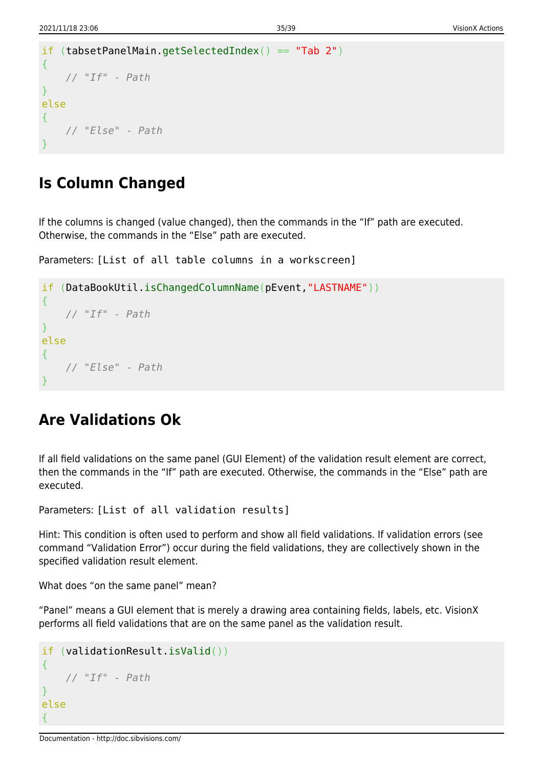```
if (tabsetPanelMain.getSelectedIndex() == "Tab 2")
{
     // "If" - Path
}
else
{
     // "Else" - Path
}
```
## <span id="page-35-0"></span>**Is Column Changed**

If the columns is changed (value changed), then the commands in the "If" path are executed. Otherwise, the commands in the "Else" path are executed.

Parameters: [List of all table columns in a workscreen]

```
if (DataBookUtil.isChangedColumnName(pEvent,"LASTNAME"))
{
     // "If" - Path
}
else
{
     // "Else" - Path
}
```
## <span id="page-35-1"></span>**Are Validations Ok**

If all field validations on the same panel (GUI Element) of the validation result element are correct, then the commands in the "If" path are executed. Otherwise, the commands in the "Else" path are executed.

Parameters: [List of all validation results]

Hint: This condition is often used to perform and show all field validations. If validation errors (see command "Validation Error") occur during the field validations, they are collectively shown in the specified validation result element.

What does "on the same panel" mean?

"Panel" means a GUI element that is merely a drawing area containing fields, labels, etc. VisionX performs all field validations that are on the same panel as the validation result.

```
if (validationResult.isValid())
{
     // "If" - Path
}
else
{
```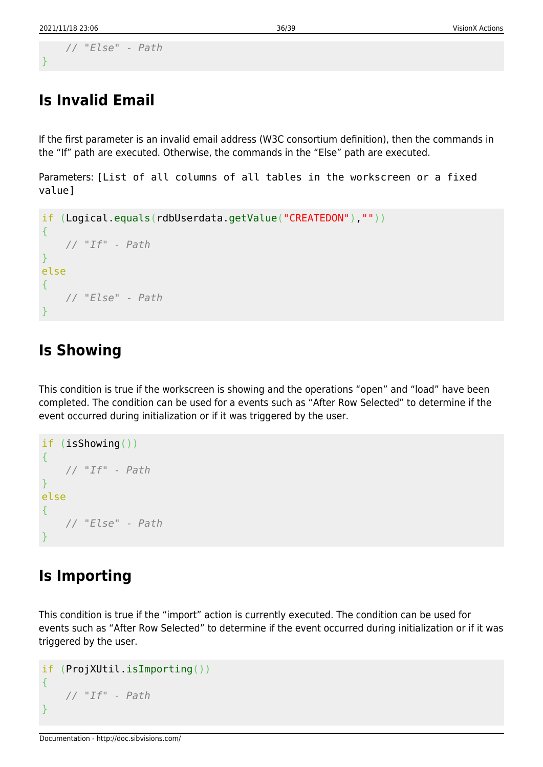}

```
 // "Else" - Path
```
## <span id="page-36-0"></span>**Is Invalid Email**

If the first parameter is an invalid email address (W3C consortium definition), then the commands in the "If" path are executed. Otherwise, the commands in the "Else" path are executed.

Parameters: [List of all columns of all tables in the workscreen or a fixed value]

```
if (Logical.equals(rdbUserdata.getValue("CREATEDON"),""))
\{ // "If" - Path
}
else
{
     // "Else" - Path
}
```
## <span id="page-36-1"></span>**Is Showing**

This condition is true if the workscreen is showing and the operations "open" and "load" have been completed. The condition can be used for a events such as "After Row Selected" to determine if the event occurred during initialization or if it was triggered by the user.

```
if (isShowing())
{
     // "If" - Path
}
else
{
     // "Else" - Path
}
```
## <span id="page-36-2"></span>**Is Importing**

This condition is true if the "import" action is currently executed. The condition can be used for events such as "After Row Selected" to determine if the event occurred during initialization or if it was triggered by the user.

```
if (ProjXUtil.isImporting())
{
     // "If" - Path
}
```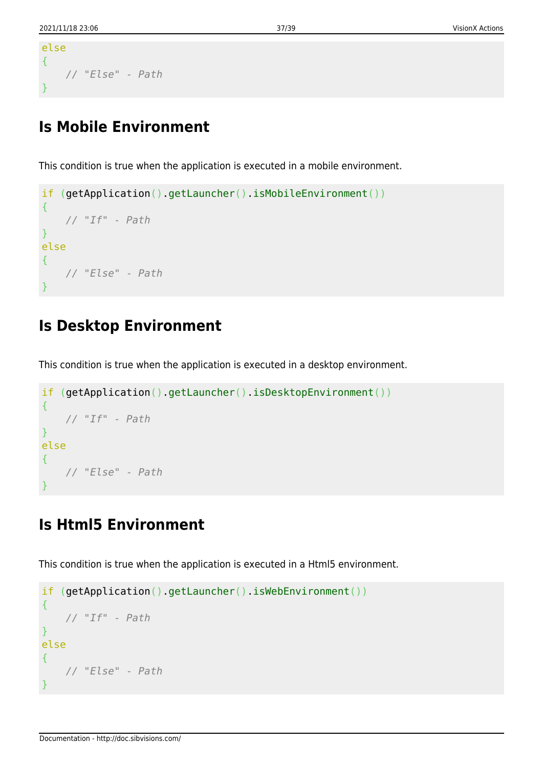```
else
{
     // "Else" - Path
}
```
## <span id="page-37-0"></span>**Is Mobile Environment**

This condition is true when the application is executed in a mobile environment.

```
if (getApplication().getLauncher().isMobileEnvironment())
{
 // "If" - Path
}
else
{
    // "Else" - Path
}
```
## <span id="page-37-1"></span>**Is Desktop Environment**

This condition is true when the application is executed in a desktop environment.

```
if (getApplication().getLauncher().isDesktopEnvironment())
\{ // "If" - Path
}
else
{
     // "Else" - Path
}
```
## <span id="page-37-2"></span>**Is Html5 Environment**

This condition is true when the application is executed in a Html5 environment.

```
if (getApplication().getLauncher().isWebEnvironment())
{
 // "If" - Path
}
else
{
    // "Else" - Path
}
```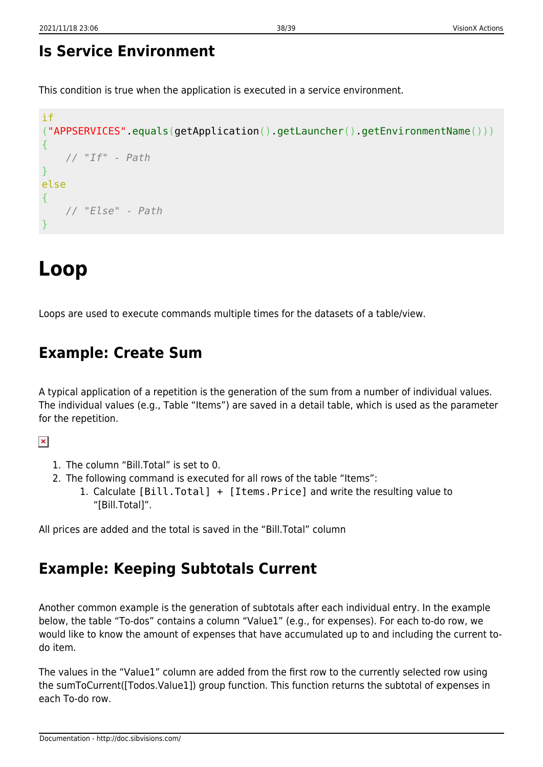## <span id="page-38-0"></span>**Is Service Environment**

This condition is true when the application is executed in a service environment.

```
if
("APPSERVICES".equals(getApplication().getLauncher().getEnvironmentName()))
{
     // "If" - Path
}
else
{
     // "Else" - Path
}
```
# <span id="page-38-1"></span>**Loop**

Loops are used to execute commands multiple times for the datasets of a table/view.

## <span id="page-38-2"></span>**Example: Create Sum**

A typical application of a repetition is the generation of the sum from a number of individual values. The individual values (e.g., Table "Items") are saved in a detail table, which is used as the parameter for the repetition.

#### $\pmb{\times}$

- 1. The column "Bill.Total" is set to 0.
- 2. The following command is executed for all rows of the table "Items":
	- 1. Calculate [Bill.Total] + [Items.Price] and write the resulting value to "[Bill.Total]".

All prices are added and the total is saved in the "Bill.Total" column

## <span id="page-38-3"></span>**Example: Keeping Subtotals Current**

Another common example is the generation of subtotals after each individual entry. In the example below, the table "To-dos" contains a column "Value1" (e.g., for expenses). For each to-do row, we would like to know the amount of expenses that have accumulated up to and including the current todo item.

The values in the "Value1" column are added from the first row to the currently selected row using the sumToCurrent([Todos.Value1]) group function. This function returns the subtotal of expenses in each To-do row.